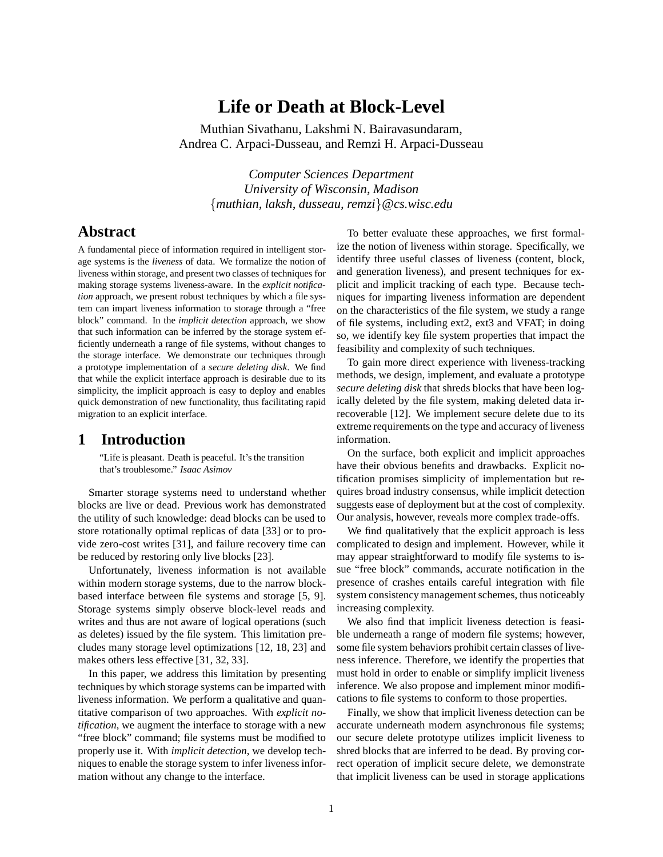# **Life or Death at Block-Level**

Muthian Sivathanu, Lakshmi N. Bairavasundaram, Andrea C. Arpaci-Dusseau, and Remzi H. Arpaci-Dusseau

*Computer Sciences Department University of Wisconsin, Madison* {*muthian, laksh, dusseau, remzi*}*@cs.wisc.edu*

# **Abstract**

A fundamental piece of information required in intelligent storage systems is the *liveness* of data. We formalize the notion of liveness within storage, and present two classes of techniques for making storage systems liveness-aware. In the *explicit notification* approach, we present robust techniques by which a file system can impart liveness information to storage through a "free block" command. In the *implicit detection* approach, we show that such information can be inferred by the storage system efficiently underneath a range of file systems, without changes to the storage interface. We demonstrate our techniques through a prototype implementation of a *secure deleting disk*. We find that while the explicit interface approach is desirable due to its simplicity, the implicit approach is easy to deploy and enables quick demonstration of new functionality, thus facilitating rapid migration to an explicit interface.

# **1 Introduction**

"Life is pleasant. Death is peaceful. It's the transition that's troublesome." *Isaac Asimov*

Smarter storage systems need to understand whether blocks are live or dead. Previous work has demonstrated the utility of such knowledge: dead blocks can be used to store rotationally optimal replicas of data [33] or to provide zero-cost writes [31], and failure recovery time can be reduced by restoring only live blocks [23].

Unfortunately, liveness information is not available within modern storage systems, due to the narrow blockbased interface between file systems and storage [5, 9]. Storage systems simply observe block-level reads and writes and thus are not aware of logical operations (such as deletes) issued by the file system. This limitation precludes many storage level optimizations [12, 18, 23] and makes others less effective [31, 32, 33].

In this paper, we address this limitation by presenting techniques by which storage systems can be imparted with liveness information. We perform a qualitative and quantitative comparison of two approaches. With *explicit notification*, we augment the interface to storage with a new "free block" command; file systems must be modified to properly use it. With *implicit detection*, we develop techniques to enable the storage system to infer liveness information without any change to the interface.

To better evaluate these approaches, we first formalize the notion of liveness within storage. Specifically, we identify three useful classes of liveness (content, block, and generation liveness), and present techniques for explicit and implicit tracking of each type. Because techniques for imparting liveness information are dependent on the characteristics of the file system, we study a range of file systems, including ext2, ext3 and VFAT; in doing so, we identify key file system properties that impact the feasibility and complexity of such techniques.

To gain more direct experience with liveness-tracking methods, we design, implement, and evaluate a prototype *secure deleting disk* that shreds blocks that have been logically deleted by the file system, making deleted data irrecoverable [12]. We implement secure delete due to its extreme requirements on the type and accuracy of liveness information.

On the surface, both explicit and implicit approaches have their obvious benefits and drawbacks. Explicit notification promises simplicity of implementation but requires broad industry consensus, while implicit detection suggests ease of deployment but at the cost of complexity. Our analysis, however, reveals more complex trade-offs.

We find qualitatively that the explicit approach is less complicated to design and implement. However, while it may appear straightforward to modify file systems to issue "free block" commands, accurate notification in the presence of crashes entails careful integration with file system consistency management schemes, thus noticeably increasing complexity.

We also find that implicit liveness detection is feasible underneath a range of modern file systems; however, some file system behaviors prohibit certain classes of liveness inference. Therefore, we identify the properties that must hold in order to enable or simplify implicit liveness inference. We also propose and implement minor modifications to file systems to conform to those properties.

Finally, we show that implicit liveness detection can be accurate underneath modern asynchronous file systems; our secure delete prototype utilizes implicit liveness to shred blocks that are inferred to be dead. By proving correct operation of implicit secure delete, we demonstrate that implicit liveness can be used in storage applications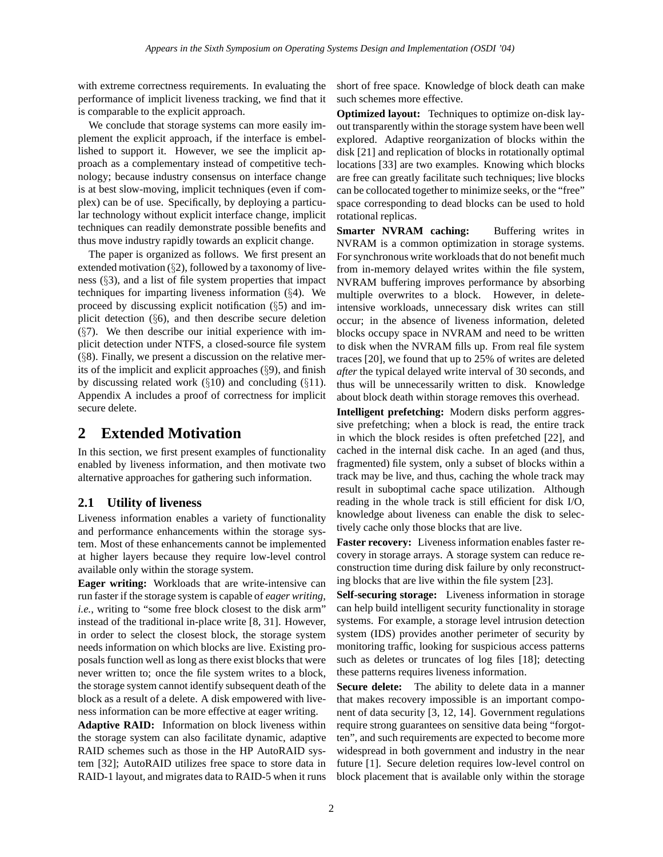with extreme correctness requirements. In evaluating the performance of implicit liveness tracking, we find that it is comparable to the explicit approach.

We conclude that storage systems can more easily implement the explicit approach, if the interface is embellished to support it. However, we see the implicit approach as a complementary instead of competitive technology; because industry consensus on interface change is at best slow-moving, implicit techniques (even if complex) can be of use. Specifically, by deploying a particular technology without explicit interface change, implicit techniques can readily demonstrate possible benefits and thus move industry rapidly towards an explicit change.

The paper is organized as follows. We first present an extended motivation (§2), followed by a taxonomy of liveness (§3), and a list of file system properties that impact techniques for imparting liveness information (§4). We proceed by discussing explicit notification (§5) and implicit detection (§6), and then describe secure deletion  $(\S7)$ . We then describe our initial experience with implicit detection under NTFS, a closed-source file system  $(\S 8)$ . Finally, we present a discussion on the relative merits of the implicit and explicit approaches (§9), and finish by discussing related work  $(\S10)$  and concluding  $(\S11)$ . Appendix A includes a proof of correctness for implicit secure delete.

# **2 Extended Motivation**

In this section, we first present examples of functionality enabled by liveness information, and then motivate two alternative approaches for gathering such information.

# **2.1 Utility of liveness**

Liveness information enables a variety of functionality and performance enhancements within the storage system. Most of these enhancements cannot be implemented at higher layers because they require low-level control available only within the storage system.

**Eager writing:** Workloads that are write-intensive can run faster if the storage system is capable of *eager writing*, *i.e.*, writing to "some free block closest to the disk arm" instead of the traditional in-place write [8, 31]. However, in order to select the closest block, the storage system needs information on which blocks are live. Existing proposals function well as long as there exist blocks that were never written to; once the file system writes to a block, the storage system cannot identify subsequent death of the block as a result of a delete. A disk empowered with liveness information can be more effective at eager writing.

**Adaptive RAID:** Information on block liveness within the storage system can also facilitate dynamic, adaptive RAID schemes such as those in the HP AutoRAID system [32]; AutoRAID utilizes free space to store data in RAID-1 layout, and migrates data to RAID-5 when it runs short of free space. Knowledge of block death can make such schemes more effective.

**Optimized layout:** Techniques to optimize on-disk layout transparently within the storage system have been well explored. Adaptive reorganization of blocks within the disk [21] and replication of blocks in rotationally optimal locations [33] are two examples. Knowing which blocks are free can greatly facilitate such techniques; live blocks can be collocated together to minimize seeks, or the "free" space corresponding to dead blocks can be used to hold rotational replicas.

**Smarter NVRAM caching:** Buffering writes in NVRAM is a common optimization in storage systems. For synchronous write workloads that do not benefit much from in-memory delayed writes within the file system, NVRAM buffering improves performance by absorbing multiple overwrites to a block. However, in deleteintensive workloads, unnecessary disk writes can still occur; in the absence of liveness information, deleted blocks occupy space in NVRAM and need to be written to disk when the NVRAM fills up. From real file system traces [20], we found that up to 25% of writes are deleted *after* the typical delayed write interval of 30 seconds, and thus will be unnecessarily written to disk. Knowledge about block death within storage removes this overhead.

**Intelligent prefetching:** Modern disks perform aggressive prefetching; when a block is read, the entire track in which the block resides is often prefetched [22], and cached in the internal disk cache. In an aged (and thus, fragmented) file system, only a subset of blocks within a track may be live, and thus, caching the whole track may result in suboptimal cache space utilization. Although reading in the whole track is still efficient for disk I/O, knowledge about liveness can enable the disk to selectively cache only those blocks that are live.

**Faster recovery:** Liveness information enables faster recovery in storage arrays. A storage system can reduce reconstruction time during disk failure by only reconstructing blocks that are live within the file system [23].

**Self-securing storage:** Liveness information in storage can help build intelligent security functionality in storage systems. For example, a storage level intrusion detection system (IDS) provides another perimeter of security by monitoring traffic, looking for suspicious access patterns such as deletes or truncates of log files [18]; detecting these patterns requires liveness information.

**Secure delete:** The ability to delete data in a manner that makes recovery impossible is an important component of data security [3, 12, 14]. Government regulations require strong guarantees on sensitive data being "forgotten", and such requirements are expected to become more widespread in both government and industry in the near future [1]. Secure deletion requires low-level control on block placement that is available only within the storage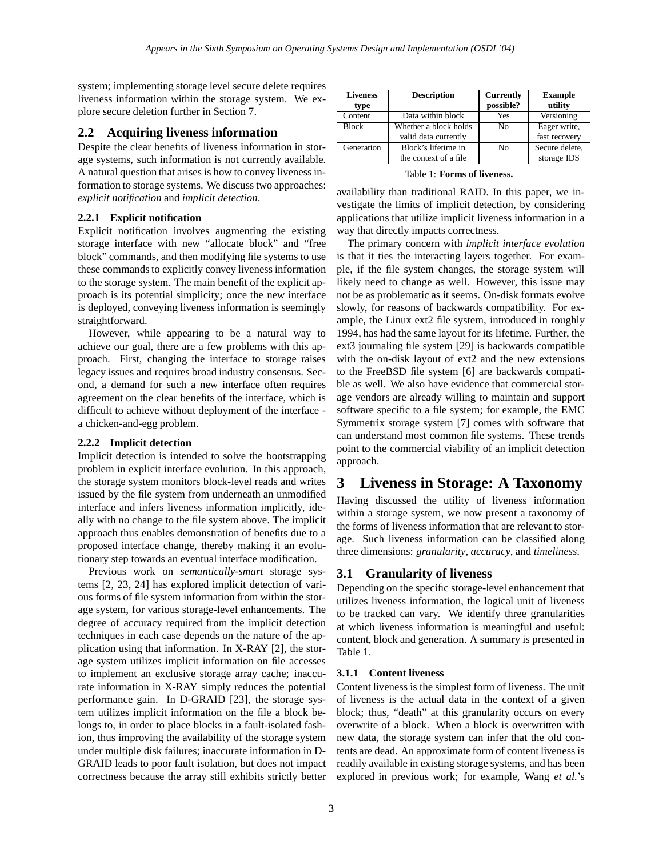system; implementing storage level secure delete requires liveness information within the storage system. We explore secure deletion further in Section 7.

## **2.2 Acquiring liveness information**

Despite the clear benefits of liveness information in storage systems, such information is not currently available. A natural question that arises is how to convey liveness information to storage systems. We discuss two approaches: *explicit notification* and *implicit detection*.

### **2.2.1 Explicit notification**

Explicit notification involves augmenting the existing storage interface with new "allocate block" and "free block" commands, and then modifying file systems to use these commands to explicitly convey liveness information to the storage system. The main benefit of the explicit approach is its potential simplicity; once the new interface is deployed, conveying liveness information is seemingly straightforward.

However, while appearing to be a natural way to achieve our goal, there are a few problems with this approach. First, changing the interface to storage raises legacy issues and requires broad industry consensus. Second, a demand for such a new interface often requires agreement on the clear benefits of the interface, which is difficult to achieve without deployment of the interface a chicken-and-egg problem.

#### **2.2.2 Implicit detection**

Implicit detection is intended to solve the bootstrapping problem in explicit interface evolution. In this approach, the storage system monitors block-level reads and writes issued by the file system from underneath an unmodified interface and infers liveness information implicitly, ideally with no change to the file system above. The implicit approach thus enables demonstration of benefits due to a proposed interface change, thereby making it an evolutionary step towards an eventual interface modification.

Previous work on *semantically-smart* storage systems [2, 23, 24] has explored implicit detection of various forms of file system information from within the storage system, for various storage-level enhancements. The degree of accuracy required from the implicit detection techniques in each case depends on the nature of the application using that information. In X-RAY [2], the storage system utilizes implicit information on file accesses to implement an exclusive storage array cache; inaccurate information in X-RAY simply reduces the potential performance gain. In D-GRAID [23], the storage system utilizes implicit information on the file a block belongs to, in order to place blocks in a fault-isolated fashion, thus improving the availability of the storage system under multiple disk failures; inaccurate information in D-GRAID leads to poor fault isolation, but does not impact correctness because the array still exhibits strictly better

| <b>Liveness</b><br>type | <b>Description</b>    | <b>Currently</b><br>possible? | <b>Example</b><br>utility |
|-------------------------|-----------------------|-------------------------------|---------------------------|
| Content                 | Data within block     | Yes                           | Versioning                |
| <b>Block</b>            | Whether a block holds | No                            | Eager write,              |
|                         | valid data currently  |                               | fast recovery             |
| Generation              | Block's lifetime in   | No                            | Secure delete,            |
|                         | the context of a file |                               | storage IDS               |

Table 1: **Forms of liveness.**

availability than traditional RAID. In this paper, we investigate the limits of implicit detection, by considering applications that utilize implicit liveness information in a way that directly impacts correctness.

The primary concern with *implicit interface evolution* is that it ties the interacting layers together. For example, if the file system changes, the storage system will likely need to change as well. However, this issue may not be as problematic as it seems. On-disk formats evolve slowly, for reasons of backwards compatibility. For example, the Linux ext2 file system, introduced in roughly 1994, has had the same layout for its lifetime. Further, the ext3 journaling file system [29] is backwards compatible with the on-disk layout of ext2 and the new extensions to the FreeBSD file system [6] are backwards compatible as well. We also have evidence that commercial storage vendors are already willing to maintain and support software specific to a file system; for example, the EMC Symmetrix storage system [7] comes with software that can understand most common file systems. These trends point to the commercial viability of an implicit detection approach.

# **3 Liveness in Storage: A Taxonomy**

Having discussed the utility of liveness information within a storage system, we now present a taxonomy of the forms of liveness information that are relevant to storage. Such liveness information can be classified along three dimensions: *granularity*, *accuracy*, and *timeliness*.

## **3.1 Granularity of liveness**

Depending on the specific storage-level enhancement that utilizes liveness information, the logical unit of liveness to be tracked can vary. We identify three granularities at which liveness information is meaningful and useful: content, block and generation. A summary is presented in Table 1.

### **3.1.1 Content liveness**

Content liveness is the simplest form of liveness. The unit of liveness is the actual data in the context of a given block; thus, "death" at this granularity occurs on every overwrite of a block. When a block is overwritten with new data, the storage system can infer that the old contents are dead. An approximate form of content liveness is readily available in existing storage systems, and has been explored in previous work; for example, Wang *et al.*'s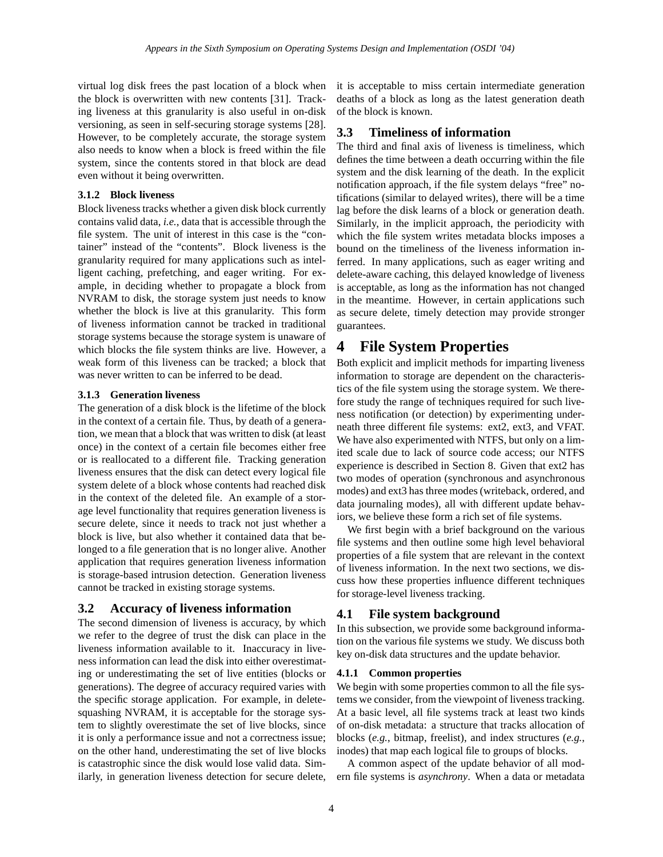virtual log disk frees the past location of a block when the block is overwritten with new contents [31]. Tracking liveness at this granularity is also useful in on-disk versioning, as seen in self-securing storage systems [28]. However, to be completely accurate, the storage system also needs to know when a block is freed within the file system, since the contents stored in that block are dead even without it being overwritten.

### **3.1.2 Block liveness**

Block liveness tracks whether a given disk block currently contains valid data, *i.e.*, data that is accessible through the file system. The unit of interest in this case is the "container" instead of the "contents". Block liveness is the granularity required for many applications such as intelligent caching, prefetching, and eager writing. For example, in deciding whether to propagate a block from NVRAM to disk, the storage system just needs to know whether the block is live at this granularity. This form of liveness information cannot be tracked in traditional storage systems because the storage system is unaware of which blocks the file system thinks are live. However, a weak form of this liveness can be tracked; a block that was never written to can be inferred to be dead.

#### **3.1.3 Generation liveness**

The generation of a disk block is the lifetime of the block in the context of a certain file. Thus, by death of a generation, we mean that a block that was written to disk (at least once) in the context of a certain file becomes either free or is reallocated to a different file. Tracking generation liveness ensures that the disk can detect every logical file system delete of a block whose contents had reached disk in the context of the deleted file. An example of a storage level functionality that requires generation liveness is secure delete, since it needs to track not just whether a block is live, but also whether it contained data that belonged to a file generation that is no longer alive. Another application that requires generation liveness information is storage-based intrusion detection. Generation liveness cannot be tracked in existing storage systems.

#### **3.2 Accuracy of liveness information**

The second dimension of liveness is accuracy, by which we refer to the degree of trust the disk can place in the liveness information available to it. Inaccuracy in liveness information can lead the disk into either overestimating or underestimating the set of live entities (blocks or generations). The degree of accuracy required varies with the specific storage application. For example, in deletesquashing NVRAM, it is acceptable for the storage system to slightly overestimate the set of live blocks, since it is only a performance issue and not a correctness issue; on the other hand, underestimating the set of live blocks is catastrophic since the disk would lose valid data. Similarly, in generation liveness detection for secure delete, it is acceptable to miss certain intermediate generation deaths of a block as long as the latest generation death of the block is known.

## **3.3 Timeliness of information**

The third and final axis of liveness is timeliness, which defines the time between a death occurring within the file system and the disk learning of the death. In the explicit notification approach, if the file system delays "free" notifications (similar to delayed writes), there will be a time lag before the disk learns of a block or generation death. Similarly, in the implicit approach, the periodicity with which the file system writes metadata blocks imposes a bound on the timeliness of the liveness information inferred. In many applications, such as eager writing and delete-aware caching, this delayed knowledge of liveness is acceptable, as long as the information has not changed in the meantime. However, in certain applications such as secure delete, timely detection may provide stronger guarantees.

# **4 File System Properties**

Both explicit and implicit methods for imparting liveness information to storage are dependent on the characteristics of the file system using the storage system. We therefore study the range of techniques required for such liveness notification (or detection) by experimenting underneath three different file systems: ext2, ext3, and VFAT. We have also experimented with NTFS, but only on a limited scale due to lack of source code access; our NTFS experience is described in Section 8. Given that ext2 has two modes of operation (synchronous and asynchronous modes) and ext3 has three modes (writeback, ordered, and data journaling modes), all with different update behaviors, we believe these form a rich set of file systems.

We first begin with a brief background on the various file systems and then outline some high level behavioral properties of a file system that are relevant in the context of liveness information. In the next two sections, we discuss how these properties influence different techniques for storage-level liveness tracking.

### **4.1 File system background**

In this subsection, we provide some background information on the various file systems we study. We discuss both key on-disk data structures and the update behavior.

#### **4.1.1 Common properties**

We begin with some properties common to all the file systems we consider, from the viewpoint of liveness tracking. At a basic level, all file systems track at least two kinds of on-disk metadata: a structure that tracks allocation of blocks (*e.g.*, bitmap, freelist), and index structures (*e.g.*, inodes) that map each logical file to groups of blocks.

A common aspect of the update behavior of all modern file systems is *asynchrony*. When a data or metadata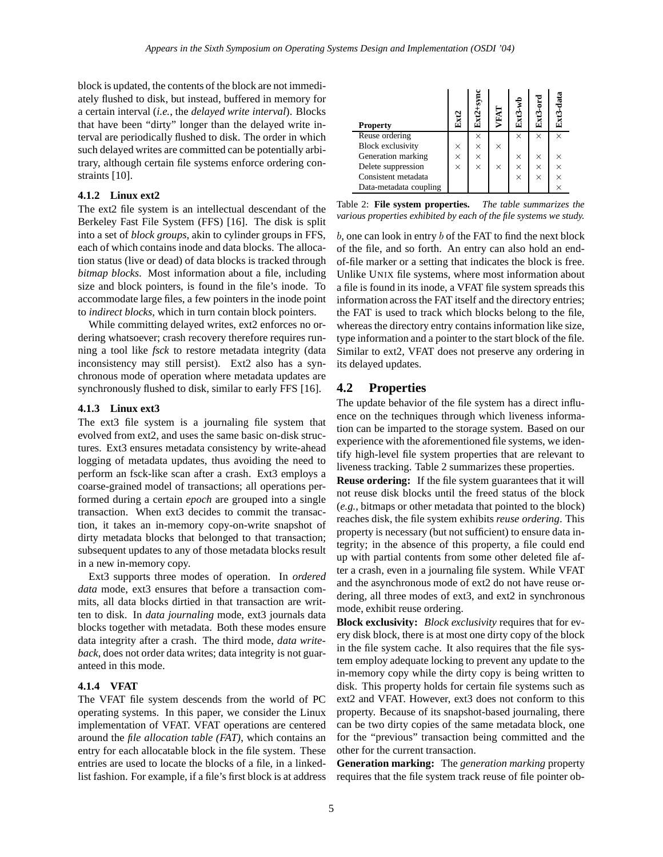block is updated, the contents of the block are not immediately flushed to disk, but instead, buffered in memory for a certain interval (*i.e.*, the *delayed write interval*). Blocks that have been "dirty" longer than the delayed write interval are periodically flushed to disk. The order in which such delayed writes are committed can be potentially arbitrary, although certain file systems enforce ordering constraints [10].

### **4.1.2 Linux ext2**

The ext2 file system is an intellectual descendant of the Berkeley Fast File System (FFS) [16]. The disk is split into a set of *block groups*, akin to cylinder groups in FFS, each of which contains inode and data blocks. The allocation status (live or dead) of data blocks is tracked through *bitmap blocks*. Most information about a file, including size and block pointers, is found in the file's inode. To accommodate large files, a few pointers in the inode point to *indirect blocks*, which in turn contain block pointers.

While committing delayed writes, ext2 enforces no ordering whatsoever; crash recovery therefore requires running a tool like *fsck* to restore metadata integrity (data inconsistency may still persist). Ext2 also has a synchronous mode of operation where metadata updates are synchronously flushed to disk, similar to early FFS [16].

### **4.1.3 Linux ext3**

The ext3 file system is a journaling file system that evolved from ext2, and uses the same basic on-disk structures. Ext3 ensures metadata consistency by write-ahead logging of metadata updates, thus avoiding the need to perform an fsck-like scan after a crash. Ext3 employs a coarse-grained model of transactions; all operations performed during a certain *epoch* are grouped into a single transaction. When ext3 decides to commit the transaction, it takes an in-memory copy-on-write snapshot of dirty metadata blocks that belonged to that transaction; subsequent updates to any of those metadata blocks result in a new in-memory copy.

Ext3 supports three modes of operation. In *ordered data* mode, ext3 ensures that before a transaction commits, all data blocks dirtied in that transaction are written to disk. In *data journaling* mode, ext3 journals data blocks together with metadata. Both these modes ensure data integrity after a crash. The third mode, *data writeback*, does not order data writes; data integrity is not guaranteed in this mode.

#### **4.1.4 VFAT**

The VFAT file system descends from the world of PC operating systems. In this paper, we consider the Linux implementation of VFAT. VFAT operations are centered around the *file allocation table (FAT)*, which contains an entry for each allocatable block in the file system. These entries are used to locate the blocks of a file, in a linkedlist fashion. For example, if a file's first block is at address

| <b>Property</b>          | Σ        | $Ext2+syn$ | VFAT     | ₹<br>Ext3 | $Ext3-ord$ | Ext3-dat |
|--------------------------|----------|------------|----------|-----------|------------|----------|
| Reuse ordering           |          | $\times$   |          | $\times$  | $\times$   | $\times$ |
| <b>Block exclusivity</b> | $\times$ | $\times$   | $\times$ |           |            |          |
| Generation marking       | $\times$ | $\times$   |          | $\times$  | $\times$   | $\times$ |
| Delete suppression       | $\times$ | $\times$   | $\times$ | $\times$  | $\times$   | $\times$ |
| Consistent metadata      |          |            |          | $\times$  | $\times$   | $\times$ |
| Data-metadata coupling   |          |            |          |           |            |          |

Table 2: **File system properties.** *The table summarizes the various properties exhibited by each of the file systems we study.*

 $b$ , one can look in entry  $b$  of the FAT to find the next block of the file, and so forth. An entry can also hold an endof-file marker or a setting that indicates the block is free. Unlike UNIX file systems, where most information about a file is found in its inode, a VFAT file system spreads this information across the FAT itself and the directory entries; the FAT is used to track which blocks belong to the file, whereas the directory entry contains information like size, type information and a pointer to the start block of the file. Similar to ext2, VFAT does not preserve any ordering in its delayed updates.

## **4.2 Properties**

The update behavior of the file system has a direct influence on the techniques through which liveness information can be imparted to the storage system. Based on our experience with the aforementioned file systems, we identify high-level file system properties that are relevant to liveness tracking. Table 2 summarizes these properties.

**Reuse ordering:** If the file system guarantees that it will not reuse disk blocks until the freed status of the block (*e.g.*, bitmaps or other metadata that pointed to the block) reaches disk, the file system exhibits *reuse ordering*. This property is necessary (but not sufficient) to ensure data integrity; in the absence of this property, a file could end up with partial contents from some other deleted file after a crash, even in a journaling file system. While VFAT and the asynchronous mode of ext2 do not have reuse ordering, all three modes of ext3, and ext2 in synchronous mode, exhibit reuse ordering.

**Block exclusivity:** *Block exclusivity* requires that for every disk block, there is at most one dirty copy of the block in the file system cache. It also requires that the file system employ adequate locking to prevent any update to the in-memory copy while the dirty copy is being written to disk. This property holds for certain file systems such as ext2 and VFAT. However, ext3 does not conform to this property. Because of its snapshot-based journaling, there can be two dirty copies of the same metadata block, one for the "previous" transaction being committed and the other for the current transaction.

**Generation marking:** The *generation marking* property requires that the file system track reuse of file pointer ob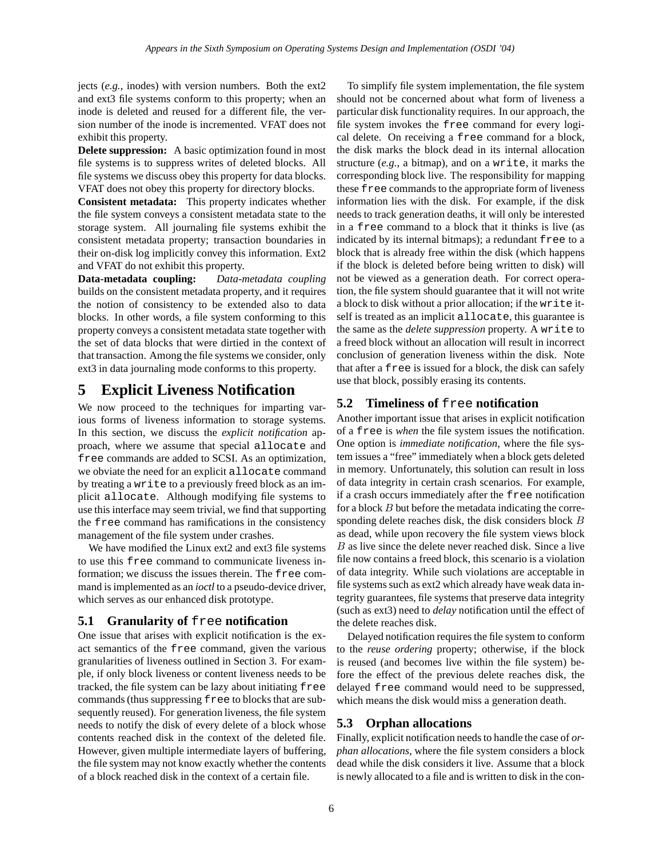jects (*e.g.*, inodes) with version numbers. Both the ext2 and ext3 file systems conform to this property; when an inode is deleted and reused for a different file, the version number of the inode is incremented. VFAT does not exhibit this property.

**Delete suppression:** A basic optimization found in most file systems is to suppress writes of deleted blocks. All file systems we discuss obey this property for data blocks. VFAT does not obey this property for directory blocks.

**Consistent metadata:** This property indicates whether the file system conveys a consistent metadata state to the storage system. All journaling file systems exhibit the consistent metadata property; transaction boundaries in their on-disk log implicitly convey this information. Ext2 and VFAT do not exhibit this property.

**Data-metadata coupling:** *Data-metadata coupling* builds on the consistent metadata property, and it requires the notion of consistency to be extended also to data blocks. In other words, a file system conforming to this property conveys a consistent metadata state together with the set of data blocks that were dirtied in the context of that transaction. Among the file systems we consider, only ext3 in data journaling mode conforms to this property.

# **5 Explicit Liveness Notification**

We now proceed to the techniques for imparting various forms of liveness information to storage systems. In this section, we discuss the *explicit notification* approach, where we assume that special allocate and free commands are added to SCSI. As an optimization, we obviate the need for an explicit allocate command by treating a write to a previously freed block as an implicit allocate. Although modifying file systems to use this interface may seem trivial, we find that supporting the free command has ramifications in the consistency management of the file system under crashes.

We have modified the Linux ext2 and ext3 file systems to use this free command to communicate liveness information; we discuss the issues therein. The free command is implemented as an *ioctl* to a pseudo-device driver, which serves as our enhanced disk prototype.

## **5.1 Granularity of** free **notification**

One issue that arises with explicit notification is the exact semantics of the free command, given the various granularities of liveness outlined in Section 3. For example, if only block liveness or content liveness needs to be tracked, the file system can be lazy about initiating free commands (thus suppressing free to blocks that are subsequently reused). For generation liveness, the file system needs to notify the disk of every delete of a block whose contents reached disk in the context of the deleted file. However, given multiple intermediate layers of buffering, the file system may not know exactly whether the contents of a block reached disk in the context of a certain file.

To simplify file system implementation, the file system should not be concerned about what form of liveness a particular disk functionality requires. In our approach, the file system invokes the free command for every logical delete. On receiving a free command for a block, the disk marks the block dead in its internal allocation structure (*e.g.*, a bitmap), and on a write, it marks the corresponding block live. The responsibility for mapping these free commands to the appropriate form of liveness information lies with the disk. For example, if the disk needs to track generation deaths, it will only be interested in a free command to a block that it thinks is live (as indicated by its internal bitmaps); a redundant free to a block that is already free within the disk (which happens if the block is deleted before being written to disk) will not be viewed as a generation death. For correct operation, the file system should guarantee that it will not write a block to disk without a prior allocation; if the write itself is treated as an implicit allocate, this guarantee is the same as the *delete suppression* property. A write to a freed block without an allocation will result in incorrect conclusion of generation liveness within the disk. Note that after a free is issued for a block, the disk can safely use that block, possibly erasing its contents.

## **5.2 Timeliness of** free **notification**

Another important issue that arises in explicit notification of a free is *when* the file system issues the notification. One option is *immediate notification*, where the file system issues a "free" immediately when a block gets deleted in memory. Unfortunately, this solution can result in loss of data integrity in certain crash scenarios. For example, if a crash occurs immediately after the free notification for a block  $B$  but before the metadata indicating the corresponding delete reaches disk, the disk considers block B as dead, while upon recovery the file system views block B as live since the delete never reached disk. Since a live file now contains a freed block, this scenario is a violation of data integrity. While such violations are acceptable in file systems such as ext2 which already have weak data integrity guarantees, file systems that preserve data integrity (such as ext3) need to *delay* notification until the effect of the delete reaches disk.

Delayed notification requires the file system to conform to the *reuse ordering* property; otherwise, if the block is reused (and becomes live within the file system) before the effect of the previous delete reaches disk, the delayed free command would need to be suppressed, which means the disk would miss a generation death.

## **5.3 Orphan allocations**

Finally, explicit notification needs to handle the case of *orphan allocations*, where the file system considers a block dead while the disk considers it live. Assume that a block is newly allocated to a file and is written to disk in the con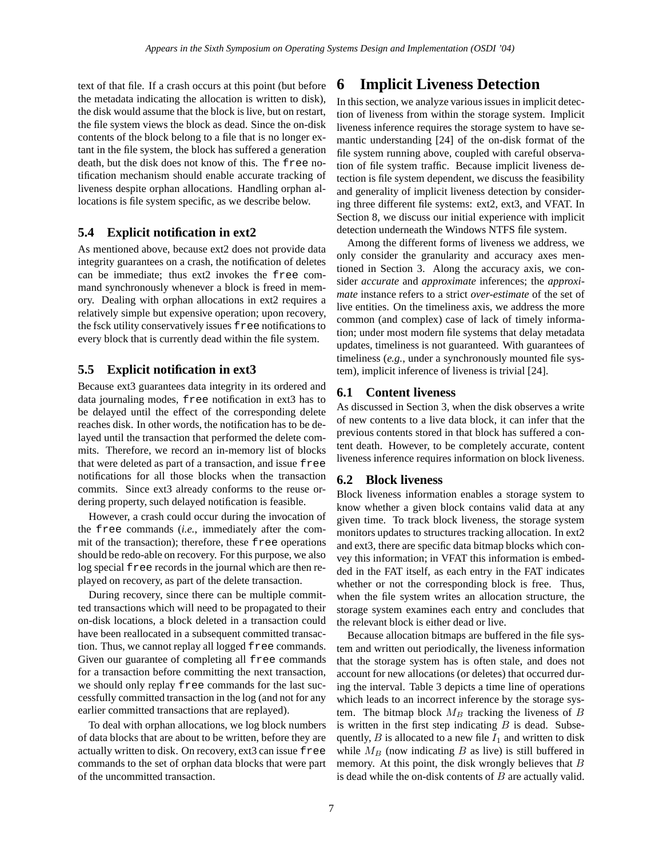text of that file. If a crash occurs at this point (but before the metadata indicating the allocation is written to disk), the disk would assume that the block is live, but on restart, the file system views the block as dead. Since the on-disk contents of the block belong to a file that is no longer extant in the file system, the block has suffered a generation death, but the disk does not know of this. The free notification mechanism should enable accurate tracking of liveness despite orphan allocations. Handling orphan allocations is file system specific, as we describe below.

## **5.4 Explicit notification in ext2**

As mentioned above, because ext2 does not provide data integrity guarantees on a crash, the notification of deletes can be immediate; thus ext2 invokes the free command synchronously whenever a block is freed in memory. Dealing with orphan allocations in ext2 requires a relatively simple but expensive operation; upon recovery, the fsck utility conservatively issues free notifications to every block that is currently dead within the file system.

## **5.5 Explicit notification in ext3**

Because ext3 guarantees data integrity in its ordered and data journaling modes, free notification in ext3 has to be delayed until the effect of the corresponding delete reaches disk. In other words, the notification has to be delayed until the transaction that performed the delete commits. Therefore, we record an in-memory list of blocks that were deleted as part of a transaction, and issue free notifications for all those blocks when the transaction commits. Since ext3 already conforms to the reuse ordering property, such delayed notification is feasible.

However, a crash could occur during the invocation of the free commands (*i.e.*, immediately after the commit of the transaction); therefore, these free operations should be redo-able on recovery. For this purpose, we also log special free records in the journal which are then replayed on recovery, as part of the delete transaction.

During recovery, since there can be multiple committed transactions which will need to be propagated to their on-disk locations, a block deleted in a transaction could have been reallocated in a subsequent committed transaction. Thus, we cannot replay all logged free commands. Given our guarantee of completing all free commands for a transaction before committing the next transaction, we should only replay free commands for the last successfully committed transaction in the log (and not for any earlier committed transactions that are replayed).

To deal with orphan allocations, we log block numbers of data blocks that are about to be written, before they are actually written to disk. On recovery, ext3 can issue free commands to the set of orphan data blocks that were part of the uncommitted transaction.

# **6 Implicit Liveness Detection**

In this section, we analyze various issues in implicit detection of liveness from within the storage system. Implicit liveness inference requires the storage system to have semantic understanding [24] of the on-disk format of the file system running above, coupled with careful observation of file system traffic. Because implicit liveness detection is file system dependent, we discuss the feasibility and generality of implicit liveness detection by considering three different file systems: ext2, ext3, and VFAT. In Section 8, we discuss our initial experience with implicit detection underneath the Windows NTFS file system.

Among the different forms of liveness we address, we only consider the granularity and accuracy axes mentioned in Section 3. Along the accuracy axis, we consider *accurate* and *approximate* inferences; the *approximate* instance refers to a strict *over-estimate* of the set of live entities. On the timeliness axis, we address the more common (and complex) case of lack of timely information; under most modern file systems that delay metadata updates, timeliness is not guaranteed. With guarantees of timeliness (*e.g.*, under a synchronously mounted file system), implicit inference of liveness is trivial [24].

## **6.1 Content liveness**

As discussed in Section 3, when the disk observes a write of new contents to a live data block, it can infer that the previous contents stored in that block has suffered a content death. However, to be completely accurate, content liveness inference requires information on block liveness.

### **6.2 Block liveness**

Block liveness information enables a storage system to know whether a given block contains valid data at any given time. To track block liveness, the storage system monitors updates to structures tracking allocation. In ext2 and ext3, there are specific data bitmap blocks which convey this information; in VFAT this information is embedded in the FAT itself, as each entry in the FAT indicates whether or not the corresponding block is free. Thus, when the file system writes an allocation structure, the storage system examines each entry and concludes that the relevant block is either dead or live.

Because allocation bitmaps are buffered in the file system and written out periodically, the liveness information that the storage system has is often stale, and does not account for new allocations (or deletes) that occurred during the interval. Table 3 depicts a time line of operations which leads to an incorrect inference by the storage system. The bitmap block  $M_B$  tracking the liveness of  $B$ is written in the first step indicating  $B$  is dead. Subsequently,  $B$  is allocated to a new file  $I_1$  and written to disk while  $M_B$  (now indicating B as live) is still buffered in memory. At this point, the disk wrongly believes that  $B$ is dead while the on-disk contents of  $B$  are actually valid.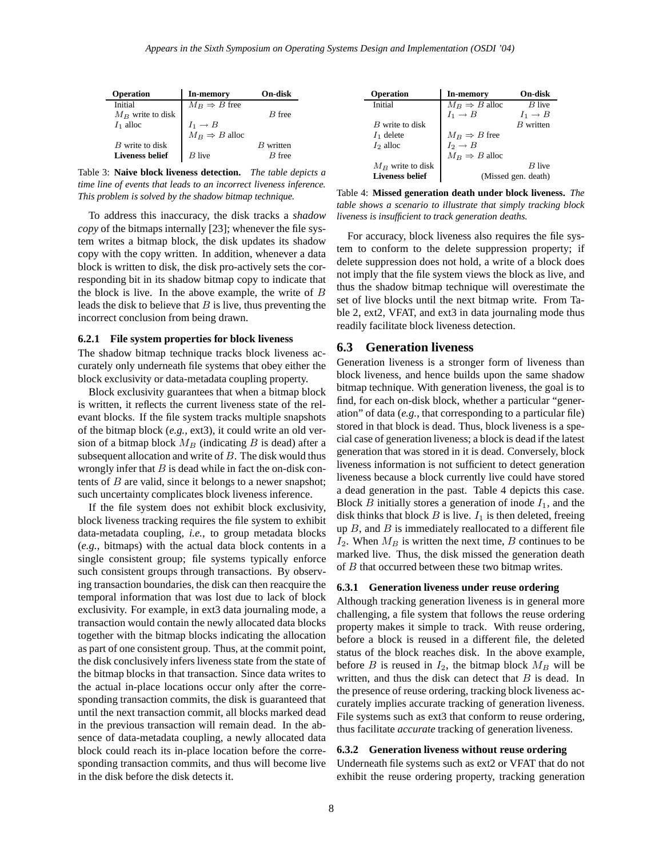| Operation              | In-memory                                                                                   | On-disk   |
|------------------------|---------------------------------------------------------------------------------------------|-----------|
| Initial                | $M_B \Rightarrow B$ free                                                                    |           |
| $M_B$ write to disk    |                                                                                             | B free    |
| $I_1$ alloc            |                                                                                             |           |
|                        | $\begin{array}{l} I_1 \rightarrow B \\ M_B \Rightarrow B \text{ } \text{alloc} \end{array}$ |           |
| B write to disk        |                                                                                             | B written |
| <b>Liveness belief</b> | <i>B</i> live                                                                               | $B$ free  |

Table 3: **Naive block liveness detection.** *The table depicts a time line of events that leads to an incorrect liveness inference. This problem is solved by the shadow bitmap technique.*

To address this inaccuracy, the disk tracks a *shadow copy* of the bitmaps internally [23]; whenever the file system writes a bitmap block, the disk updates its shadow copy with the copy written. In addition, whenever a data block is written to disk, the disk pro-actively sets the corresponding bit in its shadow bitmap copy to indicate that the block is live. In the above example, the write of  $B$ leads the disk to believe that  $B$  is live, thus preventing the incorrect conclusion from being drawn.

#### **6.2.1 File system properties for block liveness**

The shadow bitmap technique tracks block liveness accurately only underneath file systems that obey either the block exclusivity or data-metadata coupling property.

Block exclusivity guarantees that when a bitmap block is written, it reflects the current liveness state of the relevant blocks. If the file system tracks multiple snapshots of the bitmap block (*e.g.*, ext3), it could write an old version of a bitmap block  $M_B$  (indicating B is dead) after a subsequent allocation and write of  $B$ . The disk would thus wrongly infer that  $B$  is dead while in fact the on-disk contents of  $B$  are valid, since it belongs to a newer snapshot; such uncertainty complicates block liveness inference.

If the file system does not exhibit block exclusivity, block liveness tracking requires the file system to exhibit data-metadata coupling, *i.e.*, to group metadata blocks (*e.g.*, bitmaps) with the actual data block contents in a single consistent group; file systems typically enforce such consistent groups through transactions. By observing transaction boundaries, the disk can then reacquire the temporal information that was lost due to lack of block exclusivity. For example, in ext3 data journaling mode, a transaction would contain the newly allocated data blocks together with the bitmap blocks indicating the allocation as part of one consistent group. Thus, at the commit point, the disk conclusively infers liveness state from the state of the bitmap blocks in that transaction. Since data writes to the actual in-place locations occur only after the corresponding transaction commits, the disk is guaranteed that until the next transaction commit, all blocks marked dead in the previous transaction will remain dead. In the absence of data-metadata coupling, a newly allocated data block could reach its in-place location before the corresponding transaction commits, and thus will become live in the disk before the disk detects it.

| <b>Operation</b>       | <b>In-memory</b>          | On-disk             |
|------------------------|---------------------------|---------------------|
| Initial                | $M_B \Rightarrow B$ alloc | $B$ live            |
|                        | $I_1 \rightarrow B$       | $I_1 \rightarrow B$ |
| B write to disk        |                           | $B$ written         |
| $I_1$ delete           | $M_B \Rightarrow B$ free  |                     |
| $I_2$ alloc            | $I_2 \rightarrow B$       |                     |
|                        | $M_B \Rightarrow B$ alloc |                     |
| $M_B$ write to disk    |                           | <i>B</i> live       |
| <b>Liveness belief</b> |                           | (Missed gen. death) |

Table 4: **Missed generation death under block liveness.** *The table shows a scenario to illustrate that simply tracking block liveness is insufficient to track generation deaths.*

For accuracy, block liveness also requires the file system to conform to the delete suppression property; if delete suppression does not hold, a write of a block does not imply that the file system views the block as live, and thus the shadow bitmap technique will overestimate the set of live blocks until the next bitmap write. From Table 2, ext2, VFAT, and ext3 in data journaling mode thus readily facilitate block liveness detection.

### **6.3 Generation liveness**

Generation liveness is a stronger form of liveness than block liveness, and hence builds upon the same shadow bitmap technique. With generation liveness, the goal is to find, for each on-disk block, whether a particular "generation" of data (*e.g.*, that corresponding to a particular file) stored in that block is dead. Thus, block liveness is a special case of generation liveness; a block is dead if the latest generation that was stored in it is dead. Conversely, block liveness information is not sufficient to detect generation liveness because a block currently live could have stored a dead generation in the past. Table 4 depicts this case. Block  $B$  initially stores a generation of inode  $I_1$ , and the disk thinks that block  $B$  is live.  $I_1$  is then deleted, freeing up  $B$ , and  $B$  is immediately reallocated to a different file  $I_2$ . When  $M_B$  is written the next time, B continues to be marked live. Thus, the disk missed the generation death of B that occurred between these two bitmap writes.

#### **6.3.1 Generation liveness under reuse ordering**

Although tracking generation liveness is in general more challenging, a file system that follows the reuse ordering property makes it simple to track. With reuse ordering, before a block is reused in a different file, the deleted status of the block reaches disk. In the above example, before B is reused in  $I_2$ , the bitmap block  $M_B$  will be written, and thus the disk can detect that  $B$  is dead. In the presence of reuse ordering, tracking block liveness accurately implies accurate tracking of generation liveness. File systems such as ext3 that conform to reuse ordering, thus facilitate *accurate* tracking of generation liveness.

#### **6.3.2 Generation liveness without reuse ordering**

Underneath file systems such as ext2 or VFAT that do not exhibit the reuse ordering property, tracking generation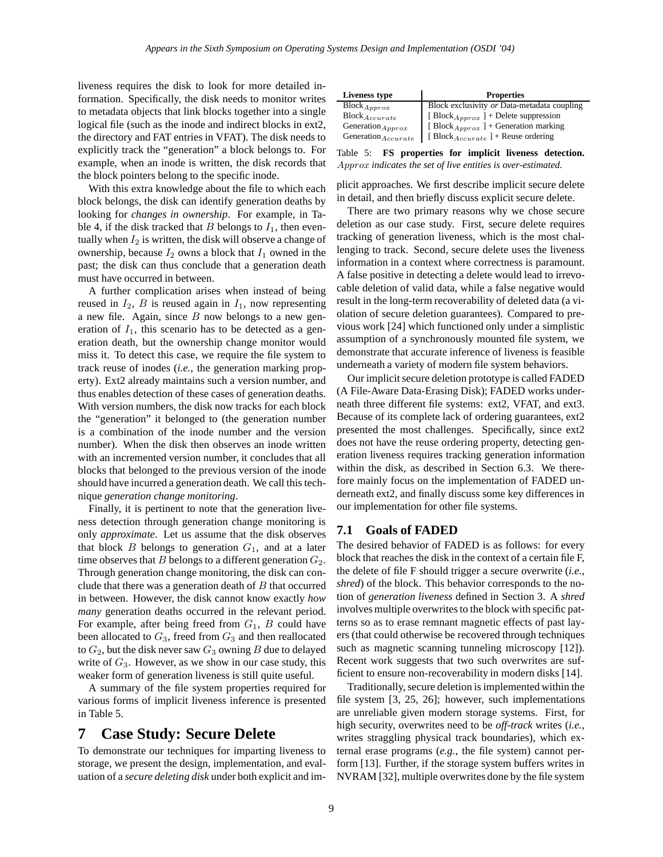liveness requires the disk to look for more detailed information. Specifically, the disk needs to monitor writes to metadata objects that link blocks together into a single logical file (such as the inode and indirect blocks in ext2, the directory and FAT entries in VFAT). The disk needs to explicitly track the "generation" a block belongs to. For example, when an inode is written, the disk records that the block pointers belong to the specific inode.

With this extra knowledge about the file to which each block belongs, the disk can identify generation deaths by looking for *changes in ownership*. For example, in Table 4, if the disk tracked that B belongs to  $I_1$ , then eventually when  $I_2$  is written, the disk will observe a change of ownership, because  $I_2$  owns a block that  $I_1$  owned in the past; the disk can thus conclude that a generation death must have occurred in between.

A further complication arises when instead of being reused in  $I_2$ , B is reused again in  $I_1$ , now representing a new file. Again, since  $B$  now belongs to a new generation of  $I_1$ , this scenario has to be detected as a generation death, but the ownership change monitor would miss it. To detect this case, we require the file system to track reuse of inodes (*i.e.*, the generation marking property). Ext2 already maintains such a version number, and thus enables detection of these cases of generation deaths. With version numbers, the disk now tracks for each block the "generation" it belonged to (the generation number is a combination of the inode number and the version number). When the disk then observes an inode written with an incremented version number, it concludes that all blocks that belonged to the previous version of the inode should have incurred a generation death. We call this technique *generation change monitoring*.

Finally, it is pertinent to note that the generation liveness detection through generation change monitoring is only *approximate*. Let us assume that the disk observes that block  $B$  belongs to generation  $G_1$ , and at a later time observes that  $B$  belongs to a different generation  $G_2$ . Through generation change monitoring, the disk can conclude that there was a generation death of  $B$  that occurred in between. However, the disk cannot know exactly *how many* generation deaths occurred in the relevant period. For example, after being freed from  $G_1$ ,  $B$  could have been allocated to  $G_3$ , freed from  $G_3$  and then reallocated to  $G_2$ , but the disk never saw  $G_3$  owning B due to delayed write of  $G_3$ . However, as we show in our case study, this weaker form of generation liveness is still quite useful.

A summary of the file system properties required for various forms of implicit liveness inference is presented in Table 5.

# **7 Case Study: Secure Delete**

To demonstrate our techniques for imparting liveness to storage, we present the design, implementation, and evaluation of a *secure deleting disk* under both explicit and im-

| Liveness type           | <b>Properties</b>                               |
|-------------------------|-------------------------------------------------|
| $Block_{Approx}$        | Block exclusivity or Data-metadata coupling     |
| $Block_{Accurate}$      | [Block <sub>Approx</sub> ] + Delete suppression |
| Generation $_{Approx}$  | [Block <sub>Approx</sub> ] + Generation marking |
| $Generation_{Accurate}$ | [ $Block_{Accurate}$ ] + Reuse ordering         |

Table 5: **FS properties for implicit liveness detection.** Approx *indicates the set of live entities is over-estimated.*

plicit approaches. We first describe implicit secure delete in detail, and then briefly discuss explicit secure delete.

There are two primary reasons why we chose secure deletion as our case study. First, secure delete requires tracking of generation liveness, which is the most challenging to track. Second, secure delete uses the liveness information in a context where correctness is paramount. A false positive in detecting a delete would lead to irrevocable deletion of valid data, while a false negative would result in the long-term recoverability of deleted data (a violation of secure deletion guarantees). Compared to previous work [24] which functioned only under a simplistic assumption of a synchronously mounted file system, we demonstrate that accurate inference of liveness is feasible underneath a variety of modern file system behaviors.

Our implicit secure deletion prototype is called FADED (A File-Aware Data-Erasing Disk); FADED works underneath three different file systems: ext2, VFAT, and ext3. Because of its complete lack of ordering guarantees, ext2 presented the most challenges. Specifically, since ext2 does not have the reuse ordering property, detecting generation liveness requires tracking generation information within the disk, as described in Section 6.3. We therefore mainly focus on the implementation of FADED underneath ext2, and finally discuss some key differences in our implementation for other file systems.

### **7.1 Goals of FADED**

The desired behavior of FADED is as follows: for every block that reaches the disk in the context of a certain file F, the delete of file F should trigger a secure overwrite (*i.e.*, *shred*) of the block. This behavior corresponds to the notion of *generation liveness* defined in Section 3. A *shred* involves multiple overwrites to the block with specific patterns so as to erase remnant magnetic effects of past layers (that could otherwise be recovered through techniques such as magnetic scanning tunneling microscopy [12]). Recent work suggests that two such overwrites are sufficient to ensure non-recoverability in modern disks [14].

Traditionally, secure deletion is implemented within the file system [3, 25, 26]; however, such implementations are unreliable given modern storage systems. First, for high security, overwrites need to be *off-track* writes (*i.e.*, writes straggling physical track boundaries), which external erase programs (*e.g.*, the file system) cannot perform [13]. Further, if the storage system buffers writes in NVRAM [32], multiple overwrites done by the file system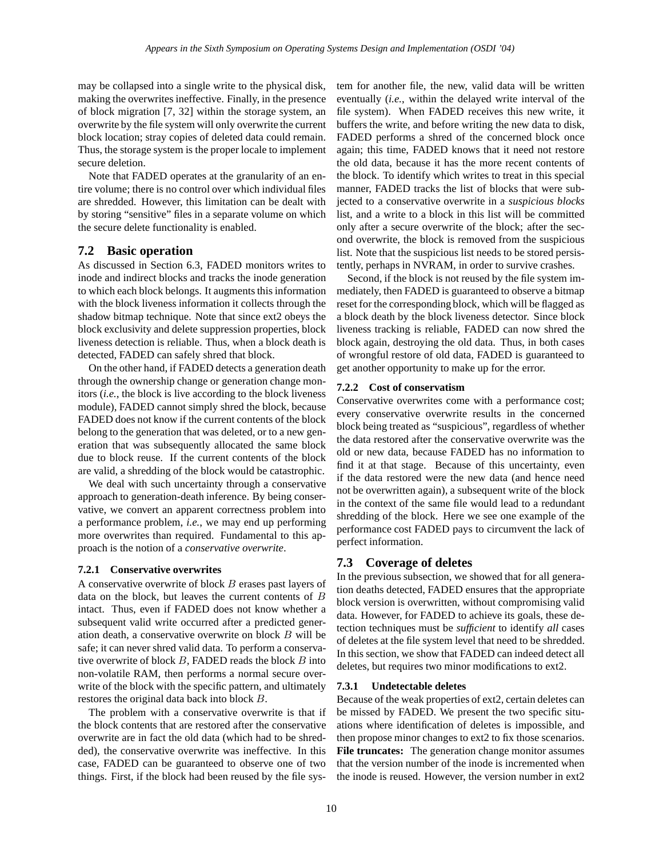may be collapsed into a single write to the physical disk, making the overwrites ineffective. Finally, in the presence of block migration [7, 32] within the storage system, an overwrite by the file system will only overwrite the current block location; stray copies of deleted data could remain. Thus, the storage system is the proper locale to implement secure deletion.

Note that FADED operates at the granularity of an entire volume; there is no control over which individual files are shredded. However, this limitation can be dealt with by storing "sensitive" files in a separate volume on which the secure delete functionality is enabled.

### **7.2 Basic operation**

As discussed in Section 6.3, FADED monitors writes to inode and indirect blocks and tracks the inode generation to which each block belongs. It augments this information with the block liveness information it collects through the shadow bitmap technique. Note that since ext2 obeys the block exclusivity and delete suppression properties, block liveness detection is reliable. Thus, when a block death is detected, FADED can safely shred that block.

On the other hand, if FADED detects a generation death through the ownership change or generation change monitors (*i.e.*, the block is live according to the block liveness module), FADED cannot simply shred the block, because FADED does not know if the current contents of the block belong to the generation that was deleted, or to a new generation that was subsequently allocated the same block due to block reuse. If the current contents of the block are valid, a shredding of the block would be catastrophic.

We deal with such uncertainty through a conservative approach to generation-death inference. By being conservative, we convert an apparent correctness problem into a performance problem, *i.e.*, we may end up performing more overwrites than required. Fundamental to this approach is the notion of a *conservative overwrite*.

#### **7.2.1 Conservative overwrites**

A conservative overwrite of block  $B$  erases past layers of data on the block, but leaves the current contents of B intact. Thus, even if FADED does not know whether a subsequent valid write occurred after a predicted generation death, a conservative overwrite on block B will be safe; it can never shred valid data. To perform a conservative overwrite of block  $B$ , FADED reads the block  $B$  into non-volatile RAM, then performs a normal secure overwrite of the block with the specific pattern, and ultimately restores the original data back into block B.

The problem with a conservative overwrite is that if the block contents that are restored after the conservative overwrite are in fact the old data (which had to be shredded), the conservative overwrite was ineffective. In this case, FADED can be guaranteed to observe one of two things. First, if the block had been reused by the file sys-

tem for another file, the new, valid data will be written eventually (*i.e.*, within the delayed write interval of the file system). When FADED receives this new write, it buffers the write, and before writing the new data to disk, FADED performs a shred of the concerned block once again; this time, FADED knows that it need not restore the old data, because it has the more recent contents of the block. To identify which writes to treat in this special manner, FADED tracks the list of blocks that were subjected to a conservative overwrite in a *suspicious blocks* list, and a write to a block in this list will be committed only after a secure overwrite of the block; after the second overwrite, the block is removed from the suspicious list. Note that the suspicious list needs to be stored persistently, perhaps in NVRAM, in order to survive crashes.

Second, if the block is not reused by the file system immediately, then FADED is guaranteed to observe a bitmap reset for the corresponding block, which will be flagged as a block death by the block liveness detector. Since block liveness tracking is reliable, FADED can now shred the block again, destroying the old data. Thus, in both cases of wrongful restore of old data, FADED is guaranteed to get another opportunity to make up for the error.

#### **7.2.2 Cost of conservatism**

Conservative overwrites come with a performance cost; every conservative overwrite results in the concerned block being treated as "suspicious", regardless of whether the data restored after the conservative overwrite was the old or new data, because FADED has no information to find it at that stage. Because of this uncertainty, even if the data restored were the new data (and hence need not be overwritten again), a subsequent write of the block in the context of the same file would lead to a redundant shredding of the block. Here we see one example of the performance cost FADED pays to circumvent the lack of perfect information.

## **7.3 Coverage of deletes**

In the previous subsection, we showed that for all generation deaths detected, FADED ensures that the appropriate block version is overwritten, without compromising valid data. However, for FADED to achieve its goals, these detection techniques must be *sufficient* to identify *all* cases of deletes at the file system level that need to be shredded. In this section, we show that FADED can indeed detect all deletes, but requires two minor modifications to ext2.

#### **7.3.1 Undetectable deletes**

Because of the weak properties of ext2, certain deletes can be missed by FADED. We present the two specific situations where identification of deletes is impossible, and then propose minor changes to ext2 to fix those scenarios. **File truncates:** The generation change monitor assumes that the version number of the inode is incremented when the inode is reused. However, the version number in ext2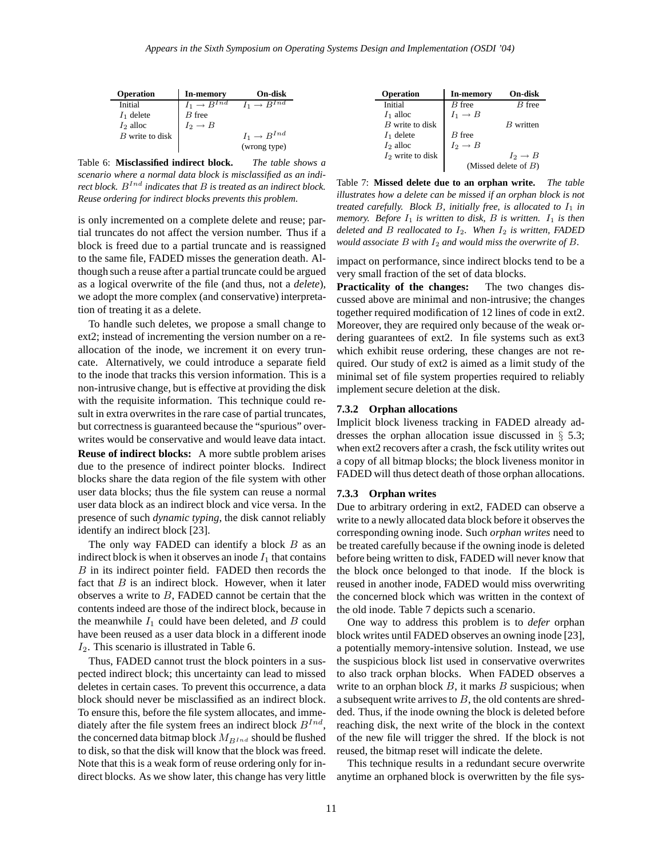| Operation         | In-memory                            | On-disk                              |
|-------------------|--------------------------------------|--------------------------------------|
| Initial           | $I_1 \rightarrow \overline{B^{Ind}}$ | $I_1 \rightarrow B^{In\overline{d}}$ |
| $I_1$ delete      | $B$ free                             |                                      |
| $I_2$ alloc       | $I_2 \rightarrow B$                  |                                      |
| $B$ write to disk |                                      | $I_1 \rightarrow B^{Ind}$            |
|                   |                                      | (wrong type)                         |

Table 6: **Misclassified indirect block.** *The table shows a scenario where a normal data block is misclassified as an indirect block.* B Ind *indicates that* B *is treated as an indirect block. Reuse ordering for indirect blocks prevents this problem.*

is only incremented on a complete delete and reuse; partial truncates do not affect the version number. Thus if a block is freed due to a partial truncate and is reassigned to the same file, FADED misses the generation death. Although such a reuse after a partial truncate could be argued as a logical overwrite of the file (and thus, not a *delete*), we adopt the more complex (and conservative) interpretation of treating it as a delete.

To handle such deletes, we propose a small change to ext2; instead of incrementing the version number on a reallocation of the inode, we increment it on every truncate. Alternatively, we could introduce a separate field to the inode that tracks this version information. This is a non-intrusive change, but is effective at providing the disk with the requisite information. This technique could result in extra overwrites in the rare case of partial truncates, but correctness is guaranteed because the "spurious" overwrites would be conservative and would leave data intact. **Reuse of indirect blocks:** A more subtle problem arises due to the presence of indirect pointer blocks. Indirect blocks share the data region of the file system with other user data blocks; thus the file system can reuse a normal user data block as an indirect block and vice versa. In the presence of such *dynamic typing*, the disk cannot reliably

The only way FADED can identify a block  $B$  as an indirect block is when it observes an inode  $I_1$  that contains B in its indirect pointer field. FADED then records the fact that  $B$  is an indirect block. However, when it later observes a write to  $B$ , FADED cannot be certain that the contents indeed are those of the indirect block, because in the meanwhile  $I_1$  could have been deleted, and  $B$  could have been reused as a user data block in a different inode  $I_2$ . This scenario is illustrated in Table 6.

identify an indirect block [23].

Thus, FADED cannot trust the block pointers in a suspected indirect block; this uncertainty can lead to missed deletes in certain cases. To prevent this occurrence, a data block should never be misclassified as an indirect block. To ensure this, before the file system allocates, and immediately after the file system frees an indirect block  $B^{Ind}$ , the concerned data bitmap block  $M_{B^{Ind}}$  should be flushed to disk, so that the disk will know that the block was freed. Note that this is a weak form of reuse ordering only for indirect blocks. As we show later, this change has very little

| <b>Operation</b>    | <b>In-memory</b>    | On-disk                 |
|---------------------|---------------------|-------------------------|
| Initial             | $B$ free            | $R$ free                |
| $I_1$ alloc         | $I_1 \rightarrow B$ |                         |
| $B$ write to disk   |                     | $B$ written             |
| $I_1$ delete        | $B$ free            |                         |
| $I_2$ alloc         | $I_2 \rightarrow B$ |                         |
| $I_2$ write to disk |                     | $I_2 \rightarrow B$     |
|                     |                     | (Missed delete of $B$ ) |

Table 7: **Missed delete due to an orphan write.** *The table illustrates how a delete can be missed if an orphan block is not treated carefully. Block B, initially free, is allocated to*  $I_1$  *in memory.* Before  $I_1$  *is written to disk, B is written.*  $I_1$  *is then deleted and B reallocated to*  $I_2$ *. When*  $I_2$  *is written, FADED would associate* B *with* I<sup>2</sup> *and would miss the overwrite of* B*.*

impact on performance, since indirect blocks tend to be a very small fraction of the set of data blocks.

**Practicality of the changes:** The two changes discussed above are minimal and non-intrusive; the changes together required modification of 12 lines of code in ext2. Moreover, they are required only because of the weak ordering guarantees of ext2. In file systems such as ext3 which exhibit reuse ordering, these changes are not required. Our study of ext2 is aimed as a limit study of the minimal set of file system properties required to reliably implement secure deletion at the disk.

#### **7.3.2 Orphan allocations**

Implicit block liveness tracking in FADED already addresses the orphan allocation issue discussed in § 5.3; when ext2 recovers after a crash, the fsck utility writes out a copy of all bitmap blocks; the block liveness monitor in FADED will thus detect death of those orphan allocations.

#### **7.3.3 Orphan writes**

Due to arbitrary ordering in ext2, FADED can observe a write to a newly allocated data block before it observes the corresponding owning inode. Such *orphan writes* need to be treated carefully because if the owning inode is deleted before being written to disk, FADED will never know that the block once belonged to that inode. If the block is reused in another inode, FADED would miss overwriting the concerned block which was written in the context of the old inode. Table 7 depicts such a scenario.

One way to address this problem is to *defer* orphan block writes until FADED observes an owning inode [23], a potentially memory-intensive solution. Instead, we use the suspicious block list used in conservative overwrites to also track orphan blocks. When FADED observes a write to an orphan block  $B$ , it marks  $B$  suspicious; when a subsequent write arrives to  $B$ , the old contents are shredded. Thus, if the inode owning the block is deleted before reaching disk, the next write of the block in the context of the new file will trigger the shred. If the block is not reused, the bitmap reset will indicate the delete.

This technique results in a redundant secure overwrite anytime an orphaned block is overwritten by the file sys-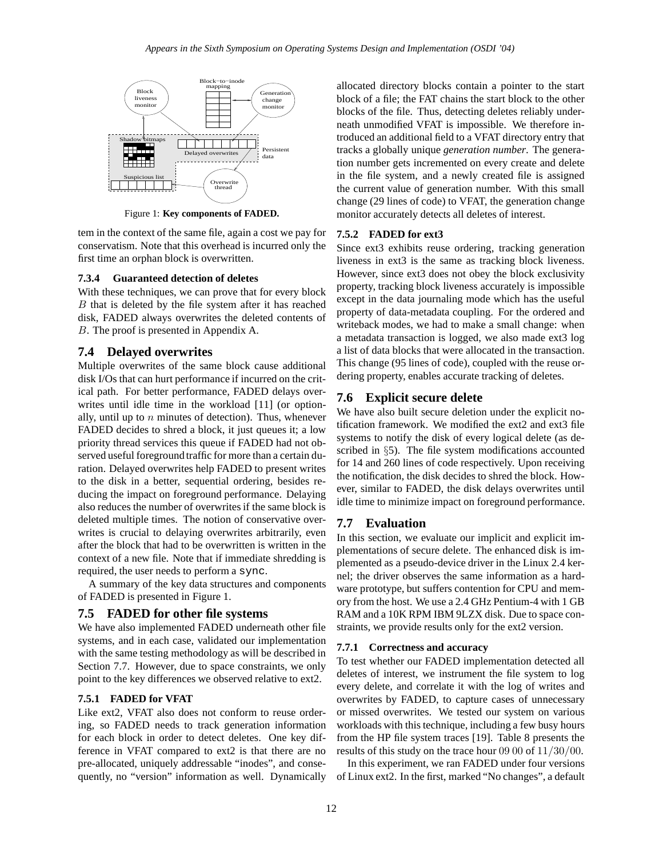

Figure 1: **Key components of FADED.**

tem in the context of the same file, again a cost we pay for conservatism. Note that this overhead is incurred only the first time an orphan block is overwritten.

#### **7.3.4 Guaranteed detection of deletes**

With these techniques, we can prove that for every block B that is deleted by the file system after it has reached disk, FADED always overwrites the deleted contents of B. The proof is presented in Appendix A.

## **7.4 Delayed overwrites**

Multiple overwrites of the same block cause additional disk I/Os that can hurt performance if incurred on the critical path. For better performance, FADED delays overwrites until idle time in the workload [11] (or optionally, until up to  $n$  minutes of detection). Thus, whenever FADED decides to shred a block, it just queues it; a low priority thread services this queue if FADED had not observed useful foreground traffic for more than a certain duration. Delayed overwrites help FADED to present writes to the disk in a better, sequential ordering, besides reducing the impact on foreground performance. Delaying also reduces the number of overwrites if the same block is deleted multiple times. The notion of conservative overwrites is crucial to delaying overwrites arbitrarily, even after the block that had to be overwritten is written in the context of a new file. Note that if immediate shredding is required, the user needs to perform a sync.

A summary of the key data structures and components of FADED is presented in Figure 1.

## **7.5 FADED for other file systems**

We have also implemented FADED underneath other file systems, and in each case, validated our implementation with the same testing methodology as will be described in Section 7.7. However, due to space constraints, we only point to the key differences we observed relative to ext2.

## **7.5.1 FADED for VFAT**

Like ext2, VFAT also does not conform to reuse ordering, so FADED needs to track generation information for each block in order to detect deletes. One key difference in VFAT compared to ext2 is that there are no pre-allocated, uniquely addressable "inodes", and consequently, no "version" information as well. Dynamically

allocated directory blocks contain a pointer to the start block of a file; the FAT chains the start block to the other blocks of the file. Thus, detecting deletes reliably underneath unmodified VFAT is impossible. We therefore introduced an additional field to a VFAT directory entry that tracks a globally unique *generation number*. The generation number gets incremented on every create and delete in the file system, and a newly created file is assigned the current value of generation number. With this small change (29 lines of code) to VFAT, the generation change monitor accurately detects all deletes of interest.

## **7.5.2 FADED for ext3**

Since ext3 exhibits reuse ordering, tracking generation liveness in ext3 is the same as tracking block liveness. However, since ext3 does not obey the block exclusivity property, tracking block liveness accurately is impossible except in the data journaling mode which has the useful property of data-metadata coupling. For the ordered and writeback modes, we had to make a small change: when a metadata transaction is logged, we also made ext3 log a list of data blocks that were allocated in the transaction. This change (95 lines of code), coupled with the reuse ordering property, enables accurate tracking of deletes.

# **7.6 Explicit secure delete**

We have also built secure deletion under the explicit notification framework. We modified the ext2 and ext3 file systems to notify the disk of every logical delete (as described in §5). The file system modifications accounted for 14 and 260 lines of code respectively. Upon receiving the notification, the disk decides to shred the block. However, similar to FADED, the disk delays overwrites until idle time to minimize impact on foreground performance.

# **7.7 Evaluation**

In this section, we evaluate our implicit and explicit implementations of secure delete. The enhanced disk is implemented as a pseudo-device driver in the Linux 2.4 kernel; the driver observes the same information as a hardware prototype, but suffers contention for CPU and memory from the host. We use a 2.4 GHz Pentium-4 with 1 GB RAM and a 10K RPM IBM 9LZX disk. Due to space constraints, we provide results only for the ext2 version.

## **7.7.1 Correctness and accuracy**

To test whether our FADED implementation detected all deletes of interest, we instrument the file system to log every delete, and correlate it with the log of writes and overwrites by FADED, to capture cases of unnecessary or missed overwrites. We tested our system on various workloads with this technique, including a few busy hours from the HP file system traces [19]. Table 8 presents the results of this study on the trace hour 09 00 of 11/30/00.

In this experiment, we ran FADED under four versions of Linux ext2. In the first, marked "No changes", a default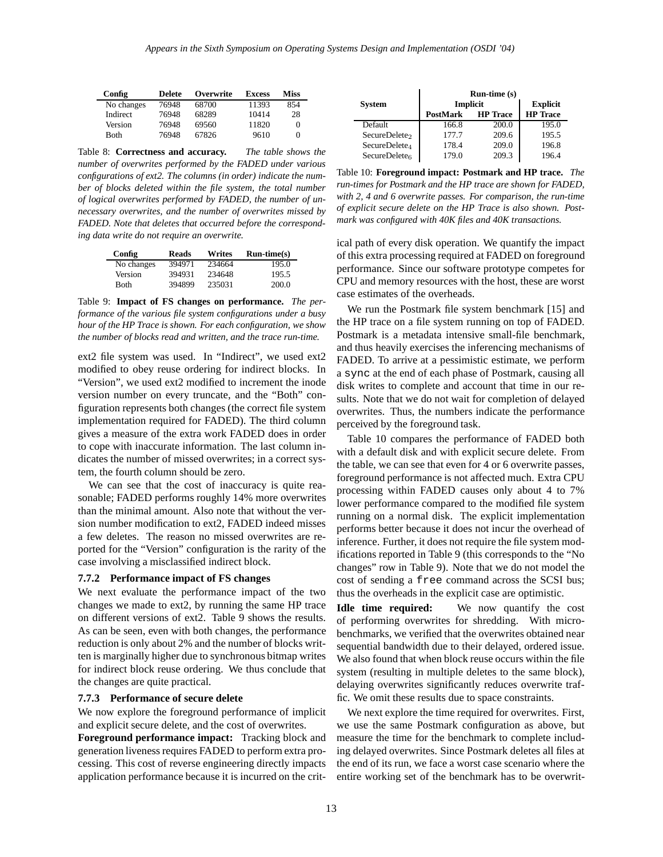| Config      | <b>Delete</b> | Overwrite | <b>Excess</b> | <b>Miss</b> |
|-------------|---------------|-----------|---------------|-------------|
| No changes  | 76948         | 68700     | 11393         | 854         |
| Indirect    | 76948         | 68289     | 10414         | 28          |
| Version     | 76948         | 69560     | 11820         |             |
| <b>Both</b> | 76948         | 67826     | 9610          |             |

Table 8: **Correctness and accuracy.** *The table shows the number of overwrites performed by the FADED under various configurations of ext2. The columns (in order) indicate the number of blocks deleted within the file system, the total number of logical overwrites performed by FADED, the number of unnecessary overwrites, and the number of overwrites missed by FADED. Note that deletes that occurred before the corresponding data write do not require an overwrite.*

| Config      | <b>Reads</b> | Writes | $Run-time(s)$ |
|-------------|--------------|--------|---------------|
| No changes  | 394971       | 234664 | 195.0         |
| Version     | 394931       | 234648 | 195.5         |
| <b>Both</b> | 394899       | 235031 | 200.0         |

Table 9: **Impact of FS changes on performance.** *The performance of the various file system configurations under a busy hour of the HP Trace is shown. For each configuration, we show the number of blocks read and written, and the trace run-time.*

ext2 file system was used. In "Indirect", we used ext2 modified to obey reuse ordering for indirect blocks. In "Version", we used ext2 modified to increment the inode version number on every truncate, and the "Both" configuration represents both changes (the correct file system implementation required for FADED). The third column gives a measure of the extra work FADED does in order to cope with inaccurate information. The last column indicates the number of missed overwrites; in a correct system, the fourth column should be zero.

We can see that the cost of inaccuracy is quite reasonable; FADED performs roughly 14% more overwrites than the minimal amount. Also note that without the version number modification to ext2, FADED indeed misses a few deletes. The reason no missed overwrites are reported for the "Version" configuration is the rarity of the case involving a misclassified indirect block.

#### **7.7.2 Performance impact of FS changes**

We next evaluate the performance impact of the two changes we made to ext2, by running the same HP trace on different versions of ext2. Table 9 shows the results. As can be seen, even with both changes, the performance reduction is only about 2% and the number of blocks written is marginally higher due to synchronous bitmap writes for indirect block reuse ordering. We thus conclude that the changes are quite practical.

#### **7.7.3 Performance of secure delete**

We now explore the foreground performance of implicit and explicit secure delete, and the cost of overwrites.

**Foreground performance impact:** Tracking block and generation liveness requires FADED to perform extra processing. This cost of reverse engineering directly impacts application performance because it is incurred on the crit-

|                           | $Run-time(s)$   |                 |                 |  |
|---------------------------|-----------------|-----------------|-----------------|--|
| <b>System</b>             | <b>Implicit</b> | <b>Explicit</b> |                 |  |
|                           | <b>PostMark</b> | <b>HP</b> Trace | <b>HP</b> Trace |  |
| Default                   | 166.8           | 200.0           | 195.0           |  |
| SecureDelete <sub>2</sub> | 177.7           | 209.6           | 195.5           |  |
| SecureDelete <sub>4</sub> | 178.4           | 209.0           | 196.8           |  |
| SecureDelete <sub>6</sub> | 179.0           | 209.3           | 196.4           |  |

Table 10: **Foreground impact: Postmark and HP trace.** *The run-times for Postmark and the HP trace are shown for FADED, with 2, 4 and 6 overwrite passes. For comparison, the run-time of explicit secure delete on the HP Trace is also shown. Postmark was configured with 40K files and 40K transactions.*

ical path of every disk operation. We quantify the impact of this extra processing required at FADED on foreground performance. Since our software prototype competes for CPU and memory resources with the host, these are worst case estimates of the overheads.

We run the Postmark file system benchmark [15] and the HP trace on a file system running on top of FADED. Postmark is a metadata intensive small-file benchmark, and thus heavily exercises the inferencing mechanisms of FADED. To arrive at a pessimistic estimate, we perform a sync at the end of each phase of Postmark, causing all disk writes to complete and account that time in our results. Note that we do not wait for completion of delayed overwrites. Thus, the numbers indicate the performance perceived by the foreground task.

Table 10 compares the performance of FADED both with a default disk and with explicit secure delete. From the table, we can see that even for 4 or 6 overwrite passes, foreground performance is not affected much. Extra CPU processing within FADED causes only about 4 to 7% lower performance compared to the modified file system running on a normal disk. The explicit implementation performs better because it does not incur the overhead of inference. Further, it does not require the file system modifications reported in Table 9 (this corresponds to the "No changes" row in Table 9). Note that we do not model the cost of sending a free command across the SCSI bus; thus the overheads in the explicit case are optimistic.

**Idle time required:** We now quantify the cost of performing overwrites for shredding. With microbenchmarks, we verified that the overwrites obtained near sequential bandwidth due to their delayed, ordered issue. We also found that when block reuse occurs within the file system (resulting in multiple deletes to the same block), delaying overwrites significantly reduces overwrite traffic. We omit these results due to space constraints.

We next explore the time required for overwrites. First, we use the same Postmark configuration as above, but measure the time for the benchmark to complete including delayed overwrites. Since Postmark deletes all files at the end of its run, we face a worst case scenario where the entire working set of the benchmark has to be overwrit-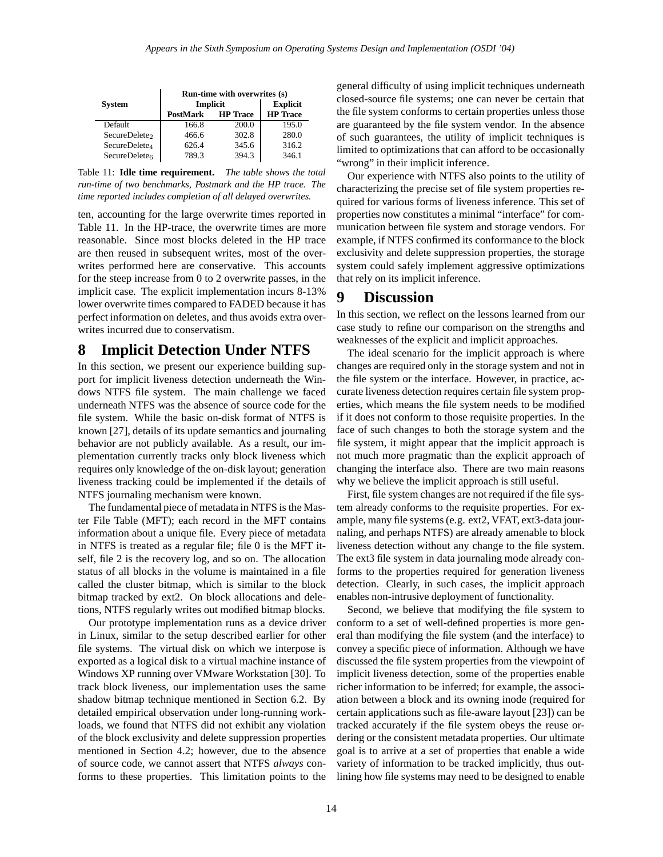|                           | Run-time with overwrites (s) |                 |                 |  |
|---------------------------|------------------------------|-----------------|-----------------|--|
| <b>System</b>             | Implicit                     | <b>Explicit</b> |                 |  |
|                           | <b>HP</b> Trace<br>PostMark  |                 | <b>HP</b> Trace |  |
| Default                   | 166.8                        | 200.0           | 195.0           |  |
| SecureDelete <sub>2</sub> | 466.6                        | 302.8           | 280.0           |  |
| SecureDelete <sub>4</sub> | 626.4                        | 345.6           | 316.2           |  |
| SecureDelete $6$          | 789.3                        | 394.3           | 346.1           |  |

Table 11: **Idle time requirement.** *The table shows the total run-time of two benchmarks, Postmark and the HP trace. The time reported includes completion of all delayed overwrites.*

ten, accounting for the large overwrite times reported in Table 11. In the HP-trace, the overwrite times are more reasonable. Since most blocks deleted in the HP trace are then reused in subsequent writes, most of the overwrites performed here are conservative. This accounts for the steep increase from 0 to 2 overwrite passes, in the implicit case. The explicit implementation incurs 8-13% lower overwrite times compared to FADED because it has perfect information on deletes, and thus avoids extra overwrites incurred due to conservatism.

# **8 Implicit Detection Under NTFS**

In this section, we present our experience building support for implicit liveness detection underneath the Windows NTFS file system. The main challenge we faced underneath NTFS was the absence of source code for the file system. While the basic on-disk format of NTFS is known [27], details of its update semantics and journaling behavior are not publicly available. As a result, our implementation currently tracks only block liveness which requires only knowledge of the on-disk layout; generation liveness tracking could be implemented if the details of NTFS journaling mechanism were known.

The fundamental piece of metadata in NTFS is the Master File Table (MFT); each record in the MFT contains information about a unique file. Every piece of metadata in NTFS is treated as a regular file; file 0 is the MFT itself, file 2 is the recovery log, and so on. The allocation status of all blocks in the volume is maintained in a file called the cluster bitmap, which is similar to the block bitmap tracked by ext2. On block allocations and deletions, NTFS regularly writes out modified bitmap blocks.

Our prototype implementation runs as a device driver in Linux, similar to the setup described earlier for other file systems. The virtual disk on which we interpose is exported as a logical disk to a virtual machine instance of Windows XP running over VMware Workstation [30]. To track block liveness, our implementation uses the same shadow bitmap technique mentioned in Section 6.2. By detailed empirical observation under long-running workloads, we found that NTFS did not exhibit any violation of the block exclusivity and delete suppression properties mentioned in Section 4.2; however, due to the absence of source code, we cannot assert that NTFS *always* conforms to these properties. This limitation points to the

general difficulty of using implicit techniques underneath closed-source file systems; one can never be certain that the file system conforms to certain properties unless those are guaranteed by the file system vendor. In the absence of such guarantees, the utility of implicit techniques is limited to optimizations that can afford to be occasionally "wrong" in their implicit inference.

Our experience with NTFS also points to the utility of characterizing the precise set of file system properties required for various forms of liveness inference. This set of properties now constitutes a minimal "interface" for communication between file system and storage vendors. For example, if NTFS confirmed its conformance to the block exclusivity and delete suppression properties, the storage system could safely implement aggressive optimizations that rely on its implicit inference.

# **9 Discussion**

In this section, we reflect on the lessons learned from our case study to refine our comparison on the strengths and weaknesses of the explicit and implicit approaches.

The ideal scenario for the implicit approach is where changes are required only in the storage system and not in the file system or the interface. However, in practice, accurate liveness detection requires certain file system properties, which means the file system needs to be modified if it does not conform to those requisite properties. In the face of such changes to both the storage system and the file system, it might appear that the implicit approach is not much more pragmatic than the explicit approach of changing the interface also. There are two main reasons why we believe the implicit approach is still useful.

First, file system changes are not required if the file system already conforms to the requisite properties. For example, many file systems (e.g. ext2, VFAT, ext3-data journaling, and perhaps NTFS) are already amenable to block liveness detection without any change to the file system. The ext3 file system in data journaling mode already conforms to the properties required for generation liveness detection. Clearly, in such cases, the implicit approach enables non-intrusive deployment of functionality.

Second, we believe that modifying the file system to conform to a set of well-defined properties is more general than modifying the file system (and the interface) to convey a specific piece of information. Although we have discussed the file system properties from the viewpoint of implicit liveness detection, some of the properties enable richer information to be inferred; for example, the association between a block and its owning inode (required for certain applications such as file-aware layout [23]) can be tracked accurately if the file system obeys the reuse ordering or the consistent metadata properties. Our ultimate goal is to arrive at a set of properties that enable a wide variety of information to be tracked implicitly, thus outlining how file systems may need to be designed to enable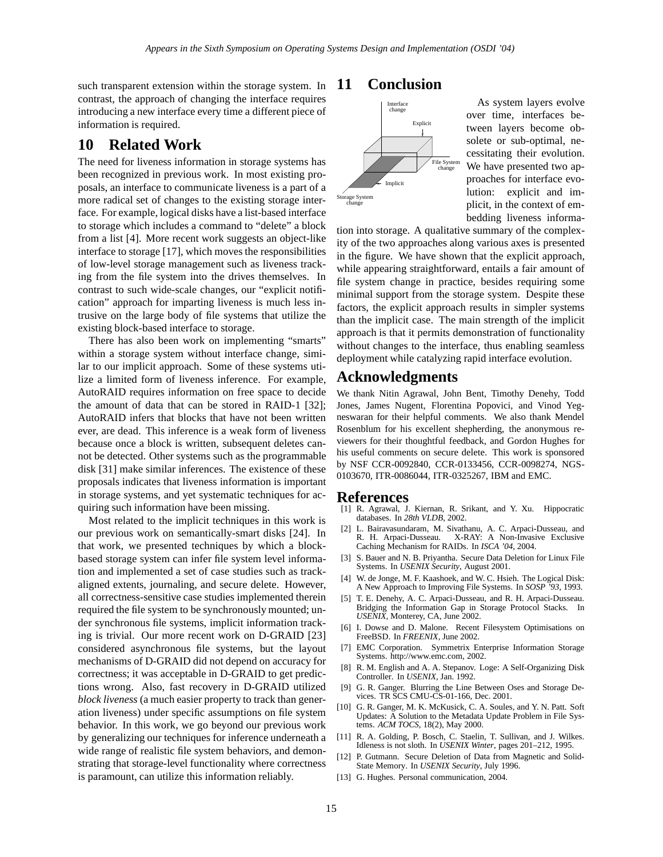such transparent extension within the storage system. In contrast, the approach of changing the interface requires introducing a new interface every time a different piece of information is required.

# **10 Related Work**

The need for liveness information in storage systems has been recognized in previous work. In most existing proposals, an interface to communicate liveness is a part of a more radical set of changes to the existing storage interface. For example, logical disks have a list-based interface to storage which includes a command to "delete" a block from a list [4]. More recent work suggests an object-like interface to storage [17], which moves the responsibilities of low-level storage management such as liveness tracking from the file system into the drives themselves. In contrast to such wide-scale changes, our "explicit notification" approach for imparting liveness is much less intrusive on the large body of file systems that utilize the existing block-based interface to storage.

There has also been work on implementing "smarts" within a storage system without interface change, similar to our implicit approach. Some of these systems utilize a limited form of liveness inference. For example, AutoRAID requires information on free space to decide the amount of data that can be stored in RAID-1 [32]; AutoRAID infers that blocks that have not been written ever, are dead. This inference is a weak form of liveness because once a block is written, subsequent deletes cannot be detected. Other systems such as the programmable disk [31] make similar inferences. The existence of these proposals indicates that liveness information is important in storage systems, and yet systematic techniques for acquiring such information have been missing.

Most related to the implicit techniques in this work is our previous work on semantically-smart disks [24]. In that work, we presented techniques by which a blockbased storage system can infer file system level information and implemented a set of case studies such as trackaligned extents, journaling, and secure delete. However, all correctness-sensitive case studies implemented therein required the file system to be synchronously mounted; under synchronous file systems, implicit information tracking is trivial. Our more recent work on D-GRAID [23] considered asynchronous file systems, but the layout mechanisms of D-GRAID did not depend on accuracy for correctness; it was acceptable in D-GRAID to get predictions wrong. Also, fast recovery in D-GRAID utilized *block liveness* (a much easier property to track than generation liveness) under specific assumptions on file system behavior. In this work, we go beyond our previous work by generalizing our techniques for inference underneath a wide range of realistic file system behaviors, and demonstrating that storage-level functionality where correctness is paramount, can utilize this information reliably.

# **11 Conclusion**



As system layers evolve over time, interfaces between layers become obsolete or sub-optimal, necessitating their evolution. We have presented two approaches for interface evolution: explicit and implicit, in the context of embedding liveness informa-

tion into storage. A qualitative summary of the complexity of the two approaches along various axes is presented in the figure. We have shown that the explicit approach, while appearing straightforward, entails a fair amount of file system change in practice, besides requiring some minimal support from the storage system. Despite these factors, the explicit approach results in simpler systems than the implicit case. The main strength of the implicit approach is that it permits demonstration of functionality without changes to the interface, thus enabling seamless deployment while catalyzing rapid interface evolution.

# **Acknowledgments**

We thank Nitin Agrawal, John Bent, Timothy Denehy, Todd Jones, James Nugent, Florentina Popovici, and Vinod Yegneswaran for their helpful comments. We also thank Mendel Rosenblum for his excellent shepherding, the anonymous reviewers for their thoughtful feedback, and Gordon Hughes for his useful comments on secure delete. This work is sponsored by NSF CCR-0092840, CCR-0133456, CCR-0098274, NGS-0103670, ITR-0086044, ITR-0325267, IBM and EMC.

#### **References**

- [1] R. Agrawal, J. Kiernan, R. Srikant, and Y. Xu. Hippocratic databases. In *28th VLDB*, 2002.
- [2] L. Bairavasundaram, M. Sivathanu, A. C. Arpaci-Dusseau, and X-RAY: A Non-Invasive Exclusive Caching Mechanism for RAIDs. In *ISCA '04*, 2004.
- [3] S. Bauer and N. B. Priyantha. Secure Data Deletion for Linux File Systems. In *USENIX Security*, August 2001.
- [4] W. de Jonge, M. F. Kaashoek, and W. C. Hsieh. The Logical Disk: A New Approach to Improving File Systems. In *SOSP '93*, 1993.
- [5] T. E. Denehy, A. C. Arpaci-Dusseau, and R. H. Arpaci-Dusseau. Bridging the Information Gap in Storage Protocol Stacks. In *USENIX*, Monterey, CA, June 2002.
- [6] I. Dowse and D. Malone. Recent Filesystem Optimisations on FreeBSD. In *FREENIX*, June 2002.
- [7] EMC Corporation. Symmetrix Enterprise Information Storage Systems. http://www.emc.com, 2002.
- [8] R. M. English and A. A. Stepanov. Loge: A Self-Organizing Disk Controller. In *USENIX*, Jan. 1992.
- [9] G. R. Ganger. Blurring the Line Between Oses and Storage Devices. TR SCS CMU-CS-01-166, Dec. 2001.
- [10] G. R. Ganger, M. K. McKusick, C. A. Soules, and Y. N. Patt. Soft Updates: A Solution to the Metadata Update Problem in File Systems. *ACM TOCS*, 18(2), May 2000.
- [11] R. A. Golding, P. Bosch, C. Staelin, T. Sullivan, and J. Wilkes. Idleness is not sloth. In *USENIX Winter*, pages 201–212, 1995.
- P. Gutmann. Secure Deletion of Data from Magnetic and Solid-State Memory. In *USENIX Security*, July 1996.
- [13] G. Hughes. Personal communication, 2004.